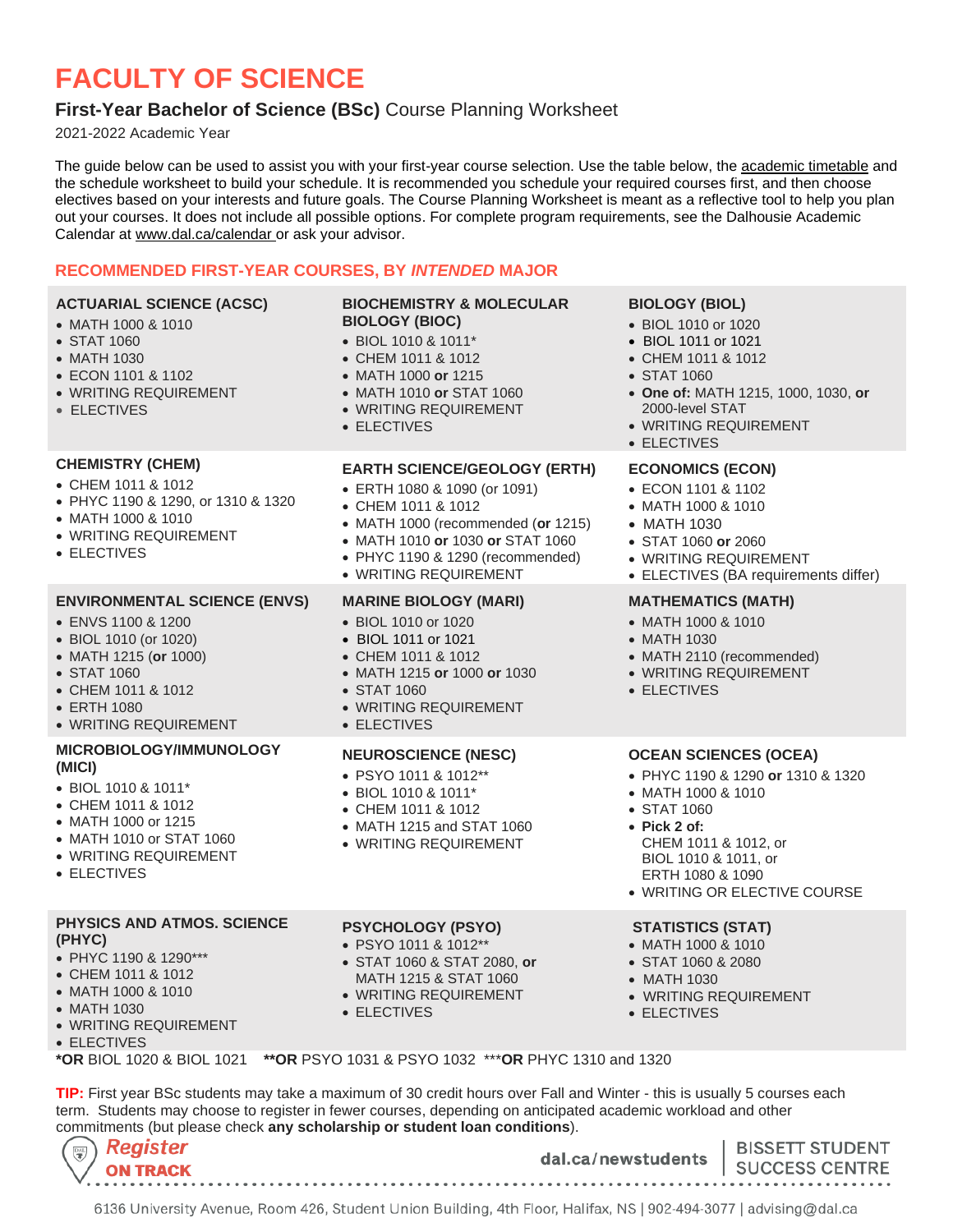# **FACULTY OF SCIENCE**

# **First-Year Bachelor of Science (BSc)** Course Planning Worksheet

2021-2022 Academic Year

The guide below can be used to assist you with your first-year course selection. Use the table below, the [academic timetable](https://dalonline.dal.ca/PROD/fysktime.P_DisplaySchedule) and the schedule worksheet to build your schedule. It is recommended you schedule your required courses first, and then choose electives based on your interests and future goals. The Course Planning Worksheet is meant as a reflective tool to help you plan out your courses. It does not include all possible options. For complete program requirements, see the Dalhousie Academic Calendar at [www.dal.ca/calendar](https://academiccalendar.dal.ca/~/Catalog/ViewCatalog.aspx) or ask your advisor.

# **RECOMMENDED FIRST-YEAR COURSES, BY** *INTENDED* **MAJOR**

| <b>ACTUARIAL SCIENCE (ACSC)</b><br>• MATH 1000 & 1010<br>• STAT 1060<br>• MATH 1030<br>• ECON 1101 & 1102<br>• WRITING REQUIREMENT<br>• ELECTIVES                                        | <b>BIOCHEMISTRY &amp; MOLECULAR</b><br><b>BIOLOGY (BIOC)</b><br>• BIOL 1010 & 1011*<br>• CHEM 1011 & 1012<br>• MATH 1000 or 1215<br>• MATH 1010 or STAT 1060<br>• WRITING REQUIREMENT<br>• ELECTIVES                             | <b>BIOLOGY (BIOL)</b><br>• BIOL 1010 or 1020<br>• BIOL 1011 or 1021<br>• CHEM 1011 & 1012<br>• STAT 1060<br>• One of: MATH 1215, 1000, 1030, or<br>2000-level STAT<br>• WRITING REQUIREMENT<br>• ELECTIVES                         |  |
|------------------------------------------------------------------------------------------------------------------------------------------------------------------------------------------|----------------------------------------------------------------------------------------------------------------------------------------------------------------------------------------------------------------------------------|------------------------------------------------------------------------------------------------------------------------------------------------------------------------------------------------------------------------------------|--|
| <b>CHEMISTRY (CHEM)</b><br>• CHEM 1011 & 1012<br>• PHYC 1190 & 1290, or 1310 & 1320<br>• MATH 1000 & 1010<br>• WRITING REQUIREMENT<br>• ELECTIVES                                        | <b>EARTH SCIENCE/GEOLOGY (ERTH)</b><br>• ERTH 1080 & 1090 (or 1091)<br>• CHEM 1011 & 1012<br>• MATH 1000 (recommended (or 1215)<br>• MATH 1010 or 1030 or STAT 1060<br>• PHYC 1190 & 1290 (recommended)<br>· WRITING REQUIREMENT | <b>ECONOMICS (ECON)</b><br>• ECON 1101 & 1102<br>• MATH 1000 & 1010<br>• MATH 1030<br>• STAT 1060 or 2060<br>• WRITING REQUIREMENT<br>• ELECTIVES (BA requirements differ)                                                         |  |
| <b>ENVIRONMENTAL SCIENCE (ENVS)</b><br>• ENVS 1100 & 1200<br>• BIOL 1010 (or 1020)<br>• MATH 1215 (or 1000)<br>• STAT 1060<br>• CHEM 1011 & 1012<br>• ERTH 1080<br>• WRITING REQUIREMENT | <b>MARINE BIOLOGY (MARI)</b><br>• BIOL 1010 or 1020<br>• BIOL 1011 or 1021<br>• CHEM 1011 & 1012<br>• MATH 1215 or 1000 or 1030<br>• STAT 1060<br>• WRITING REQUIREMENT<br>• ELECTIVES                                           | <b>MATHEMATICS (MATH)</b><br>• MATH 1000 & 1010<br>• MATH 1030<br>• MATH 2110 (recommended)<br>• WRITING REQUIREMENT<br>• ELECTIVES                                                                                                |  |
| MICROBIOLOGY/IMMUNOLOGY<br>(MICI)<br>• BIOL 1010 & 1011*<br>• CHEM 1011 & 1012<br>• MATH 1000 or 1215<br>• MATH 1010 or STAT 1060<br>• WRITING REQUIREMENT<br>• ELECTIVES                | <b>NEUROSCIENCE (NESC)</b><br>• PSYO 1011 & 1012**<br>• BIOL 1010 & 1011*<br>• CHEM 1011 & 1012<br>• MATH 1215 and STAT 1060<br>• WRITING REQUIREMENT                                                                            | <b>OCEAN SCIENCES (OCEA)</b><br>• PHYC 1190 & 1290 or 1310 & 1320<br>• MATH 1000 & 1010<br>• STAT 1060<br>$\bullet$ Pick 2 of:<br>CHEM 1011 & 1012, or<br>BIOL 1010 & 1011, or<br>ERTH 1080 & 1090<br>• WRITING OR ELECTIVE COURSE |  |
| PHYSICS AND ATMOS. SCIENCE<br>(PHYC)<br>• PHYC 1190 & 1290***<br>• CHEM 1011 & 1012<br>• MATH 1000 & 1010                                                                                | <b>PSYCHOLOGY (PSYO)</b><br>• PSYO 1011 & 1012**<br>• STAT 1060 & STAT 2080, or<br>MATH 1215 & STAT 1060<br>• WRITING REQUIREMENT                                                                                                | <b>STATISTICS (STAT)</b><br>• MATH 1000 & 1010<br>• STAT 1060 & 2080<br>• MATH 1030<br>· WRITING REQUIREMENT                                                                                                                       |  |

- MATH 1030
- WRITING REQUIREMENT
- ELECTIVES
- ELECTIVES
- 

• ELECTIVES

**\*OR** BIOL 1020 & BIOL 1021 **\*\*OR** PSYO 1031 & PSYO 1032 \*\*\***OR** PHYC 1310 and 1320

**TIP:** First year BSc students may take a maximum of 30 credit hours over Fall and Winter - this is usually 5 courses each term. Students may choose to register in fewer courses, depending on anticipated academic workload and other commitments (but please check **any scholarship or student loan conditions**).

| $(\mathbb{R})$ Register<br>$\setminus$ / ON TRACK |  | dal.ca/newstudents   SUCCESS CENTRE | <b>BISSETT STUDENT</b> |
|---------------------------------------------------|--|-------------------------------------|------------------------|
|                                                   |  |                                     |                        |

6136 University Avenue, Room 426, Student Union Building, 4th Floor, Halifax, NS | 902-494-3077 | advising@dal.ca